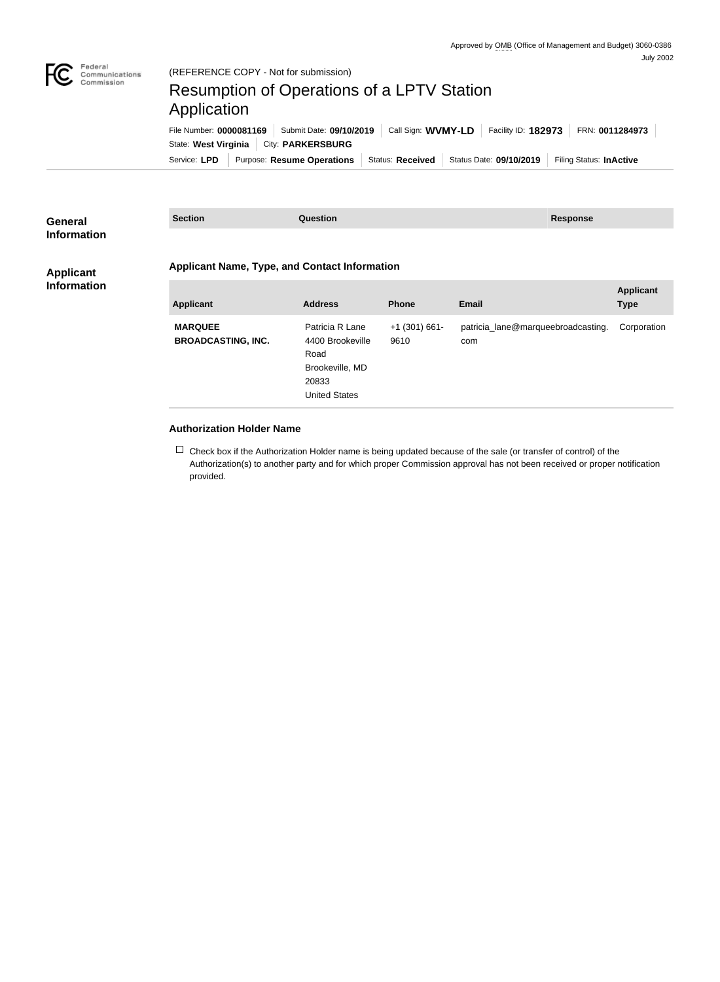

## Resumption of Operations of a LPTV Station Application

Service: LPD | Purpose: Resume Operations | Status: Received | Status Date: 09/10/2019 | Filing Status: InActive State: West Virginia | City: PARKERSBURG File Number: **0000081169** Submit Date: **09/10/2019** Call Sign: **WVMY-LD** Facility ID: **182973** FRN: **0011284973**

| General                                | <b>Section</b>                                       | <b>Question</b>                     |                         | <b>Response</b>                           |                  |  |
|----------------------------------------|------------------------------------------------------|-------------------------------------|-------------------------|-------------------------------------------|------------------|--|
| <b>Information</b>                     |                                                      |                                     |                         |                                           |                  |  |
| <b>Applicant</b><br><b>Information</b> | <b>Applicant Name, Type, and Contact Information</b> |                                     |                         |                                           |                  |  |
|                                        |                                                      |                                     |                         |                                           | <b>Applicant</b> |  |
|                                        | <b>Applicant</b>                                     | <b>Address</b>                      | <b>Phone</b>            | Email                                     | <b>Type</b>      |  |
|                                        | <b>MARQUEE</b><br><b>BROADCASTING, INC.</b>          | Patricia R Lane<br>4400 Brookeville | $+1$ (301) 661-<br>9610 | patricia_lane@marqueebroadcasting.<br>com | Corporation      |  |
|                                        |                                                      | Road                                |                         |                                           |                  |  |
|                                        |                                                      | Brookeville, MD                     |                         |                                           |                  |  |
|                                        |                                                      | 20833                               |                         |                                           |                  |  |
|                                        |                                                      | <b>United States</b>                |                         |                                           |                  |  |

## **Authorization Holder Name**

 $\Box$  Check box if the Authorization Holder name is being updated because of the sale (or transfer of control) of the Authorization(s) to another party and for which proper Commission approval has not been received or proper notification provided.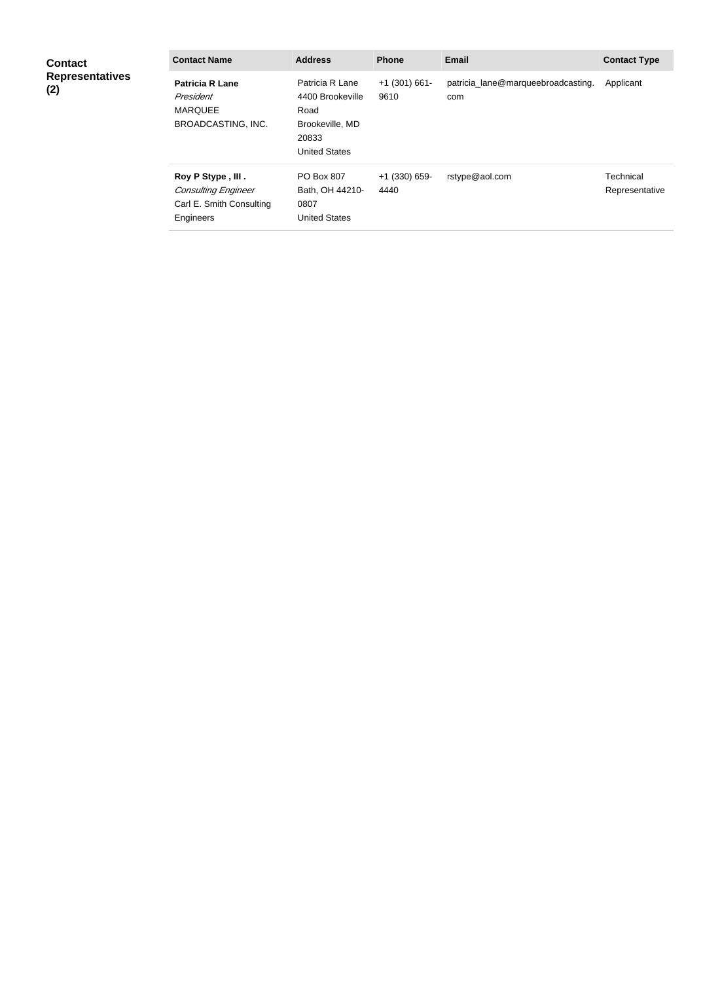| <b>Contact</b><br><b>Representatives</b><br>(2) | <b>Contact Name</b>                                                                      | <b>Address</b>                                                                                  | <b>Phone</b>            | <b>Email</b>                              | <b>Contact Type</b>         |
|-------------------------------------------------|------------------------------------------------------------------------------------------|-------------------------------------------------------------------------------------------------|-------------------------|-------------------------------------------|-----------------------------|
|                                                 | <b>Patricia R Lane</b><br>President<br><b>MARQUEE</b><br><b>BROADCASTING, INC.</b>       | Patricia R Lane<br>4400 Brookeville<br>Road<br>Brookeville, MD<br>20833<br><b>United States</b> | $+1$ (301) 661-<br>9610 | patricia_lane@marqueebroadcasting.<br>com | Applicant                   |
|                                                 | Roy P Stype, III.<br><b>Consulting Engineer</b><br>Carl E. Smith Consulting<br>Engineers | PO Box 807<br>Bath, OH 44210-<br>0807<br><b>United States</b>                                   | $+1$ (330) 659-<br>4440 | rstype@aol.com                            | Technical<br>Representative |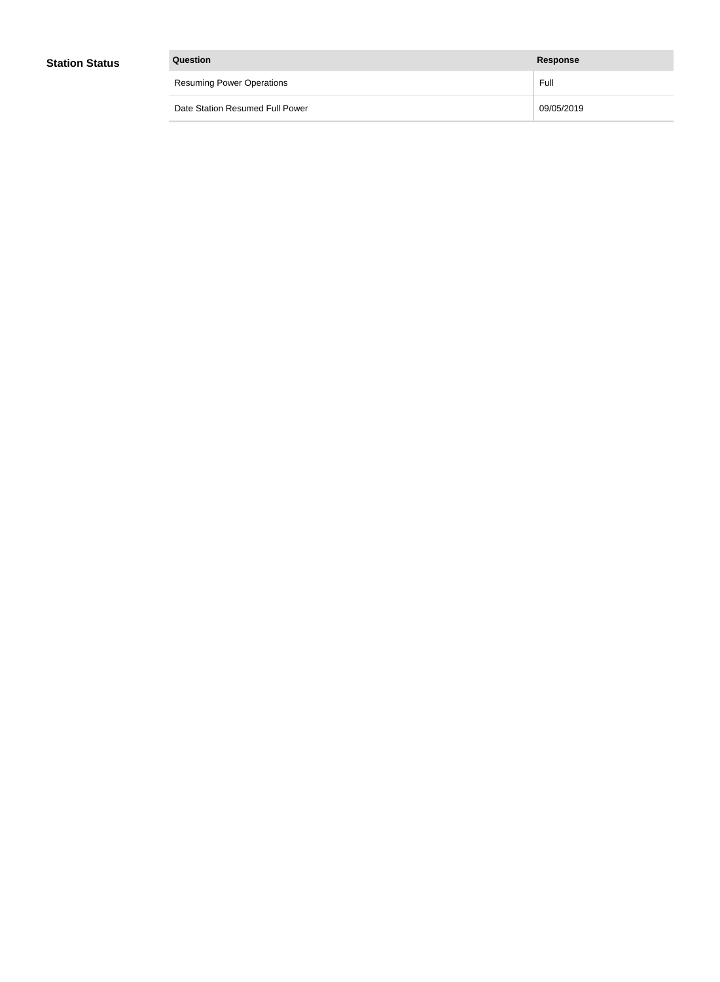| Question                         | Response   |
|----------------------------------|------------|
| <b>Resuming Power Operations</b> | Full       |
| Date Station Resumed Full Power  | 09/05/2019 |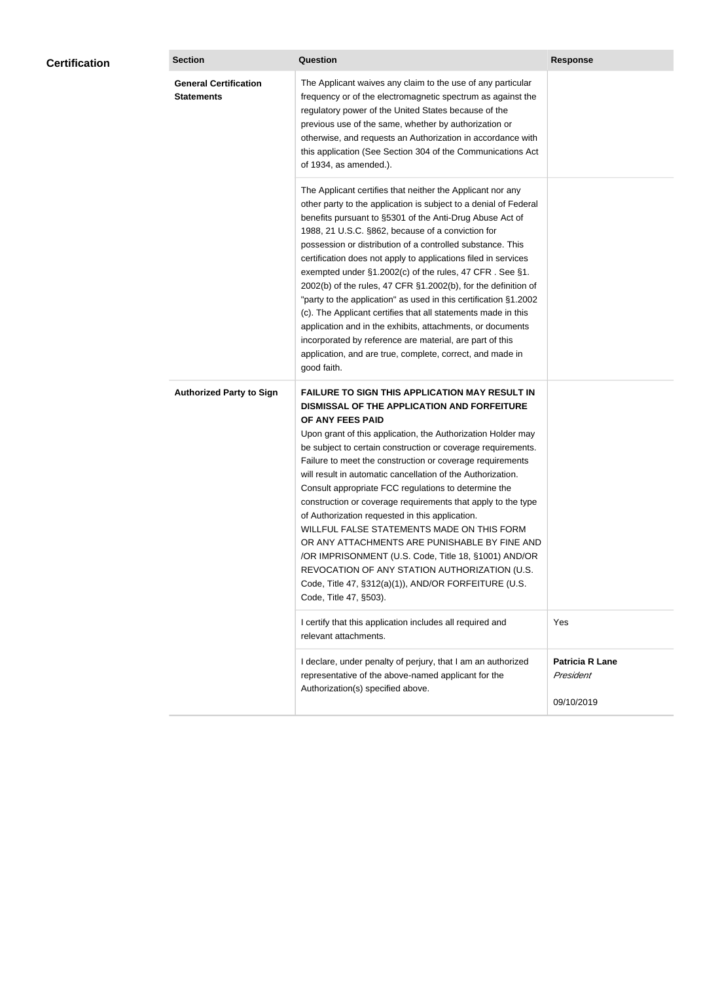|  | <b>General Certification</b><br><b>Statements</b> | The Applicant waives any claim to the use of any particular<br>frequency or of the electromagnetic spectrum as against the<br>regulatory power of the United States because of the<br>previous use of the same, whether by authorization or<br>otherwise, and requests an Authorization in accordance with<br>this application (See Section 304 of the Communications Act<br>of 1934, as amended.).                                                                                                                                                                                                                                                                                                                                                                                                                                                       |                                                   |
|--|---------------------------------------------------|-----------------------------------------------------------------------------------------------------------------------------------------------------------------------------------------------------------------------------------------------------------------------------------------------------------------------------------------------------------------------------------------------------------------------------------------------------------------------------------------------------------------------------------------------------------------------------------------------------------------------------------------------------------------------------------------------------------------------------------------------------------------------------------------------------------------------------------------------------------|---------------------------------------------------|
|  |                                                   | The Applicant certifies that neither the Applicant nor any<br>other party to the application is subject to a denial of Federal<br>benefits pursuant to §5301 of the Anti-Drug Abuse Act of<br>1988, 21 U.S.C. §862, because of a conviction for<br>possession or distribution of a controlled substance. This<br>certification does not apply to applications filed in services<br>exempted under §1.2002(c) of the rules, 47 CFR. See §1.<br>2002(b) of the rules, 47 CFR §1.2002(b), for the definition of<br>"party to the application" as used in this certification §1.2002<br>(c). The Applicant certifies that all statements made in this<br>application and in the exhibits, attachments, or documents<br>incorporated by reference are material, are part of this<br>application, and are true, complete, correct, and made in<br>good faith.   |                                                   |
|  | <b>Authorized Party to Sign</b>                   | <b>FAILURE TO SIGN THIS APPLICATION MAY RESULT IN</b><br>DISMISSAL OF THE APPLICATION AND FORFEITURE<br>OF ANY FEES PAID<br>Upon grant of this application, the Authorization Holder may<br>be subject to certain construction or coverage requirements.<br>Failure to meet the construction or coverage requirements<br>will result in automatic cancellation of the Authorization.<br>Consult appropriate FCC regulations to determine the<br>construction or coverage requirements that apply to the type<br>of Authorization requested in this application.<br>WILLFUL FALSE STATEMENTS MADE ON THIS FORM<br>OR ANY ATTACHMENTS ARE PUNISHABLE BY FINE AND<br>/OR IMPRISONMENT (U.S. Code, Title 18, §1001) AND/OR<br>REVOCATION OF ANY STATION AUTHORIZATION (U.S.<br>Code, Title 47, §312(a)(1)), AND/OR FORFEITURE (U.S.<br>Code, Title 47, §503). |                                                   |
|  |                                                   | I certify that this application includes all required and<br>relevant attachments.                                                                                                                                                                                                                                                                                                                                                                                                                                                                                                                                                                                                                                                                                                                                                                        | Yes                                               |
|  |                                                   | I declare, under penalty of perjury, that I am an authorized<br>representative of the above-named applicant for the<br>Authorization(s) specified above.                                                                                                                                                                                                                                                                                                                                                                                                                                                                                                                                                                                                                                                                                                  | <b>Patricia R Lane</b><br>President<br>09/10/2019 |